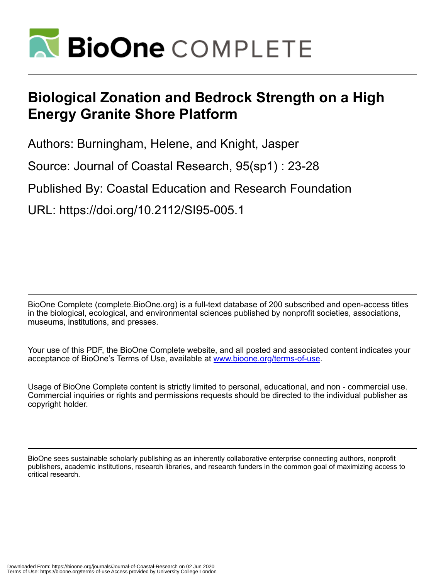

# **Biological Zonation and Bedrock Strength on a High Energy Granite Shore Platform**

Authors: Burningham, Helene, and Knight, Jasper

Source: Journal of Coastal Research, 95(sp1) : 23-28

Published By: Coastal Education and Research Foundation

URL: https://doi.org/10.2112/SI95-005.1

BioOne Complete (complete.BioOne.org) is a full-text database of 200 subscribed and open-access titles in the biological, ecological, and environmental sciences published by nonprofit societies, associations, museums, institutions, and presses.

Your use of this PDF, the BioOne Complete website, and all posted and associated content indicates your acceptance of BioOne's Terms of Use, available at www.bioone.org/terms-of-use.

Usage of BioOne Complete content is strictly limited to personal, educational, and non - commercial use. Commercial inquiries or rights and permissions requests should be directed to the individual publisher as copyright holder.

BioOne sees sustainable scholarly publishing as an inherently collaborative enterprise connecting authors, nonprofit publishers, academic institutions, research libraries, and research funders in the common goal of maximizing access to critical research.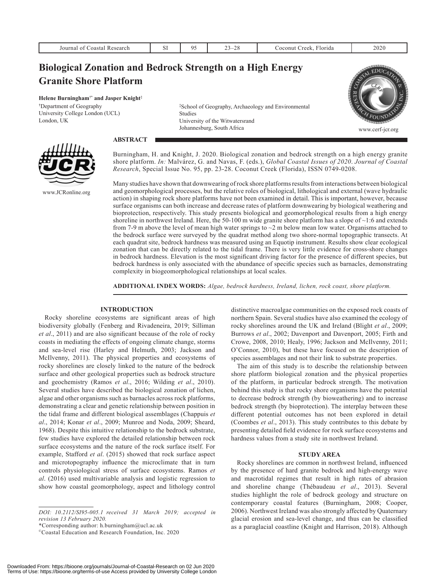| Journal<br>0.0010<br>aarat<br>. .<br>-scalch<br>ма | <b>Service</b><br>$\mathbf{L}$ | $\sim$<br>~<br>$\sim$ | ا ده:<br>mu<br>гіаа | $\sim$ $\sim$ |
|----------------------------------------------------|--------------------------------|-----------------------|---------------------|---------------|
|                                                    |                                |                       |                     |               |

# **Biological Zonation and Bedrock Strength on a High Energy Granite Shore Platform**

**Helene Burningham†\* and Jasper Knight‡**

**†** Department of Geography University College London (UCL) London, UK

www.JCRonline.org

‡ School of Geography, Archaeology and Environmental Studies University of the Witwatersrand Johannesburg, South Africa



**ABSTRACT**

Burningham, H. and Knight, J. 2020. Biological zonation and bedrock strength on a high energy granite shore platform. *In:* Malvárez, G. and Navas, F. (eds.), *Global Coastal Issues of 2020*. *Journal of Coastal Research*, Special Issue No. 95, pp. 23-28. Coconut Creek (Florida), ISSN 0749-0208.

Many studies have shown that downwearing of rock shore platforms results from interactions between biological and geomorphological processes, but the relative roles of biological, lithological and external (wave hydraulic action) in shaping rock shore platforms have not been examined in detail. This is important, however, because surface organisms can both increase and decrease rates of platform downwearing by biological weathering and bioprotection, respectively. This study presents biological and geomorphological results from a high energy shoreline in northwest Ireland. Here, the 50-100 m wide granite shore platform has a slope of  $\sim$ 1:6 and extends from 7-9 m above the level of mean high water springs to  $\sim$ 2 m below mean low water. Organisms attached to the bedrock surface were surveyed by the quadrat method along two shore-normal topographic transects. At each quadrat site, bedrock hardness was measured using an Equotip instrument. Results show clear ecological zonation that can be directly related to the tidal frame. There is very little evidence for cross-shore changes in bedrock hardness. Elevation is the most significant driving factor for the presence of different species, but bedrock hardness is only associated with the abundance of specific species such as barnacles, demonstrating complexity in biogeomorphological relationships at local scales.

**ADDITIONAL INDEX WORDS:** *Algae, bedrock hardness, Ireland, lichen, rock coast, shore platform.*

# **INTRODUCTION**

Rocky shoreline ecosystems are significant areas of high biodiversity globally (Fenberg and Rivadeneira, 2019; Silliman *et al*., 2011) and are also significant because of the role of rocky coasts in mediating the effects of ongoing climate change, storms and sea-level rise (Harley and Helmuth, 2003; Jackson and McIlvenny, 2011). The physical properties and ecosystems of rocky shorelines are closely linked to the nature of the bedrock surface and other geological properties such as bedrock structure and geochemistry (Ramos *et al*., 2016; Wilding *et al*., 2010). Several studies have described the biological zonation of lichen, algae and other organisms such as barnacles across rock platforms, demonstrating a clear and genetic relationship between position in the tidal frame and different biological assemblages (Chappuis *et al*., 2014; Konar *et al*., 2009; Munroe and Noda, 2009; Sheard, 1968). Despite this intuitive relationship to the bedrock substrate, few studies have explored the detailed relationship between rock surface ecosystems and the nature of the rock surface itself. For example, Stafford *et al*. (2015) showed that rock surface aspect and microtopography influence the microclimate that in turn controls physiological stress of surface ecosystems. Ramos *et al*. (2016) used multivariable analysis and logistic regression to show how coastal geomorphology, aspect and lithology control

\*Corresponding author: h.burningham@ucl.ac.uk

distinctive macroalgae communities on the exposed rock coasts of northern Spain. Several studies have also examined the ecology of rocky shorelines around the UK and Ireland (Blight *et al*., 2009; Burrows *et al*., 2002; Davenport and Davenport, 2005; Firth and Crowe, 2008, 2010; Healy, 1996; Jackson and McIlvenny, 2011; O'Connor, 2010), but these have focused on the description of species assemblages and not their link to substrate properties.

The aim of this study is to describe the relationship between shore platform biological zonation and the physical properties of the platform, in particular bedrock strength. The motivation behind this study is that rocky shore organisms have the potential to decrease bedrock strength (by bioweathering) and to increase bedrock strength (by bioprotection). The interplay between these different potential outcomes has not been explored in detail (Coombes *et al*., 2013). This study contributes to this debate by presenting detailed field evidence for rock surface ecosystems and hardness values from a study site in northwest Ireland.

# **STUDY AREA**

Rocky shorelines are common in northwest Ireland, influenced by the presence of hard granite bedrock and high-energy wave and macrotidal regimes that result in high rates of abrasion and shoreline change (Thébaudeau *et al*., 2013). Several studies highlight the role of bedrock geology and structure on contemporary coastal features (Burningham, 2008; Cooper, 2006). Northwest Ireland was also strongly affected by Quaternary glacial erosion and sea-level change, and thus can be classified as a paraglacial coastline (Knight and Harrison, 2018). Although

*DOI: 10.2112/SI95-005.1 received 31 March 2019; accepted in revision 13 February 2020.*

<sup>©</sup>Coastal Education and Research Foundation, Inc. 2020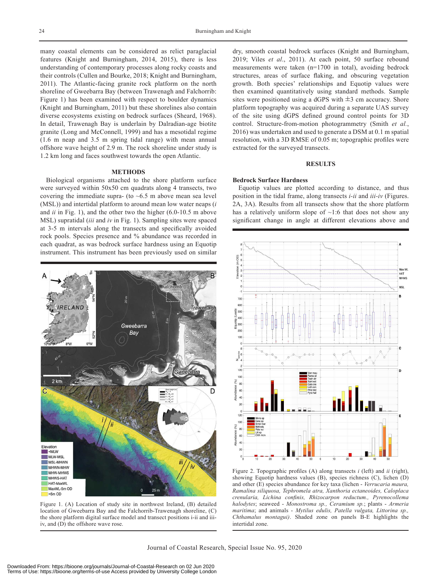many coastal elements can be considered as relict paraglacial features (Knight and Burningham, 2014, 2015), there is less understanding of contemporary processes along rocky coasts and their controls (Cullen and Bourke, 2018; Knight and Burningham, 2011). The Atlantic-facing granite rock platform on the north shoreline of Gweebarra Bay (between Trawenagh and Falchorrib: Figure 1) has been examined with respect to boulder dynamics (Knight and Burningham, 2011) but these shorelines also contain diverse ecosystems existing on bedrock surfaces (Sheard, 1968). In detail, Trawenagh Bay is underlain by Dalradian-age biotite granite (Long and McConnell, 1999) and has a mesotidal regime (1.6 m neap and 3.5 m spring tidal range) with mean annual offshore wave height of 2.9 m. The rock shoreline under study is 1.2 km long and faces southwest towards the open Atlantic.

### **METHODS**

Biological organisms attached to the shore platform surface were surveyed within 50x50 cm quadrats along 4 transects, two covering the immediate supra- (to  $~6.5$  m above mean sea level (MSL)) and intertidal platform to around mean low water neaps (*i* and *ii* in Fig. 1), and the other two the higher (6.0-10.5 m above MSL) supratidal (*iii* and *iv* in Fig. 1). Sampling sites were spaced at 3-5 m intervals along the transects and specifically avoided rock pools. Species presence and % abundance was recorded in each quadrat, as was bedrock surface hardness using an Equotip instrument. This instrument has been previously used on similar



Figure 1. (A) Location of study site in northwest Ireland, (B) detailed location of Gweebarra Bay and the Falchorrib-Trawenagh shoreline, (C) the shore platform digital surface model and transect positions i-ii and iiiiv, and (D) the offshore wave rose.

dry, smooth coastal bedrock surfaces (Knight and Burningham, 2019; Viles *et al*., 2011). At each point, 50 surface rebound measurements were taken (n=1700 in total), avoiding bedrock structures, areas of surface flaking, and obscuring vegetation growth. Both species' relationships and Equotip values were then examined quantitatively using standard methods. Sample sites were positioned using a dGPS with  $\pm$ 3 cm accuracy. Shore platform topography was acquired during a separate UAS survey of the site using dGPS defined ground control points for 3D control. Structure-from-motion photogrammetry (Smith *et al.*, 2016) was undertaken and used to generate a DSM at 0.1 m spatial resolution, with a 3D RMSE of 0.05 m; topographic profiles were extracted for the surveyed transects.

# **RESULTS**

# **Bedrock Surface Hardness**

Equotip values are plotted according to distance, and thus position in the tidal frame, along transects *i-ii* and *iii-iv* (Figures. 2A, 3A). Results from all transects show that the shore platform has a relatively uniform slope of  $\sim$ 1:6 that does not show any significant change in angle at different elevations above and



Figure 2. Topographic profiles (A) along transects *i* (left) and *ii* (right), showing Equotip hardness values (B), species richness (C), lichen (D) and other (E) species abundance for key taxa (lichen - *Verrucaria maura, Ramalina siliquosa, Tephromela atra, Xanthoria ectaneoides, Caloplaca crenularia, Lichina confinis, Rhizocarpon reductum., Pyrenocollema halodytes*; seaweed - *Monostroma sp., Ceramium sp.*; plants - *Armeria maritima*; and animals - *Mytilus edulis, Patella vulgata, Littorina sp., Chthamalus montagui)*. Shaded zone on panels B-E highlights the intertidal zone.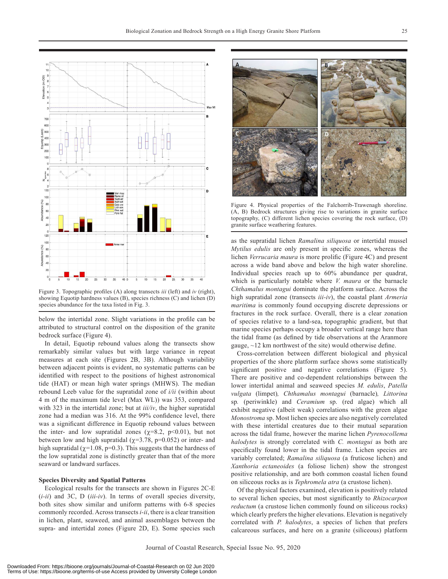

Figure 3. Topographic profiles (A) along transects *iii* (left) and *iv* (right), showing Equotip hardness values (B), species richness (C) and lichen (D) species abundance for the taxa listed in Fig. 3.

below the intertidal zone. Slight variations in the profile can be attributed to structural control on the disposition of the granite bedrock surface (Figure 4).

In detail, Equotip rebound values along the transects show remarkably similar values but with large variance in repeat measures at each site (Figures 2B, 3B). Although variability between adjacent points is evident, no systematic patterns can be identified with respect to the positions of highest astronomical tide (HAT) or mean high water springs (MHWS). The median rebound Leeb value for the supratidal zone of *i/ii* (within about 4 m of the maximum tide level (Max WL)) was 353, compared with 323 in the intertidal zone; but at *iii/iv*, the higher supratidal zone had a median was 316. At the 99% confidence level, there was a significant difference in Equotip rebound values between the inter- and low supratidal zones ( $\chi$ =8.2, p<0.01), but not between low and high supratidal ( $\chi$ =3.78, p=0.052) or inter- and high supratidal ( $\chi$ =1.08, p=0.3). This suggests that the hardness of the low supratidal zone is distinctly greater than that of the more seaward or landward surfaces.

### **Species Diversity and Spatial Patterns**

Ecological results for the transects are shown in Figures 2C-E (*i-ii*) and 3C, D (*iii-iv*). In terms of overall species diversity, both sites show similar and uniform patterns with 6-8 species commonly recorded. Across transects *i-ii*, there is a clear transition in lichen, plant, seaweed, and animal assemblages between the supra- and intertidal zones (Figure 2D, E). Some species such



Figure 4. Physical properties of the Falchorrib-Trawenagh shoreline. (A, B) Bedrock structures giving rise to variations in granite surface topography, (C) different lichen species covering the rock surface, (D) granite surface weathering features.

as the supratidal lichen *Ramalina siliquosa* or intertidal mussel *Mytilus edulis* are only present in specific zones, whereas the lichen *Verrucaria maura* is more prolific (Figure 4C) and present across a wide band above and below the high water shoreline. Individual species reach up to 60% abundance per quadrat, which is particularly notable where *V. maura* or the barnacle *Chthamalus montagui* dominate the platform surface. Across the high supratidal zone (transects *iii-iv*), the coastal plant *Armeria maritima* is commonly found occupying discrete depressions or fractures in the rock surface. Overall, there is a clear zonation of species relative to a land-sea, topographic gradient, but that marine species perhaps occupy a broader vertical range here than the tidal frame (as defined by tide observations at the Aranmore gauge,  $\sim$ 12 km northwest of the site) would otherwise define.

Cross-correlation between different biological and physical properties of the shore platform surface shows some statistically significant positive and negative correlations (Figure 5). There are positive and co-dependent relationships between the lower intertidal animal and seaweed species *M. edulis*, *Patella vulgata* (limpet)*, Chthamalus montagui* (barnacle)*, Littorina*  sp*.* (periwinkle) and *Ceramium* sp. (red algae) which all exhibit negative (albeit weak) correlations with the green algae *Monostroma* sp. Most lichen species are also negatively correlated with these intertidal creatures due to their mutual separation across the tidal frame, however the marine lichen *Pyrenocollema halodytes* is strongly correlated with *C. montagui* as both are specifically found lower in the tidal frame. Lichen species are variably correlated; *Ramalina siliquosa* (a fruticose lichen) and *Xanthoria ectaneoides* (a foliose lichen) show the strongest positive relationship, and are both common coastal lichen found on siliceous rocks as is *Tephromela atra* (a crustose lichen).

Of the physical factors examined, elevation is positively related to several lichen species, but most significantly to *Rhizocarpon reductum* (a crustose lichen commonly found on siliceous rocks) which clearly prefers the higher elevations. Elevation is negatively correlated with *P. halodytes*, a species of lichen that prefers calcareous surfaces, and here on a granite (siliceous) platform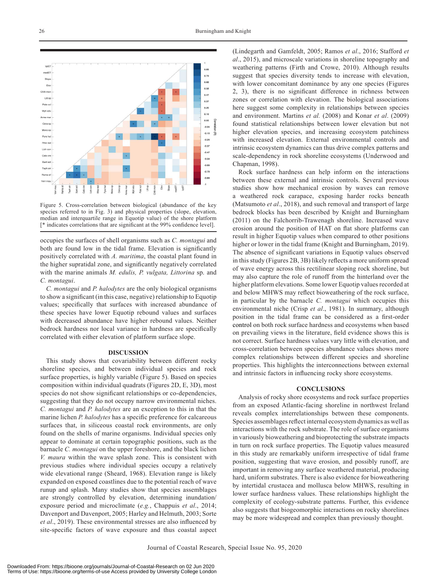

Figure 5. Cross-correlation between biological (abundance of the key species referred to in Fig. 3) and physical properties (slope, elevation, median and interquartile range in Equotip value) of the shore platform [\* indicates correlations that are significant at the 99% confidence level].

occupies the surfaces of shell organisms such as *C. montagui* and both are found low in the tidal frame. Elevation is significantly positively correlated with *A. maritima*, the coastal plant found in the higher supratidal zone, and significantly negatively correlated with the marine animals *M. edulis, P. vulgata, Littorina* sp. and *C. montagui*.

*C. montagui* and *P. halodytes* are the only biological organisms to show a significant (in this case, negative) relationship to Equotip values; specifically that surfaces with increased abundance of these species have lower Equotip rebound values and surfaces with decreased abundance have higher rebound values. Neither bedrock hardness nor local variance in hardness are specifically correlated with either elevation of platform surface slope.

### **DISCUSSION**

This study shows that covariability between different rocky shoreline species, and between individual species and rock surface properties, is highly variable (Figure 5). Based on species composition within individual quadrats (Figures 2D, E, 3D), most species do not show significant relationships or co-dependencies, suggesting that they do not occupy narrow environmental niches. *C. montagui* and *P. halodytes* are an exception to this in that the marine lichen *P. halodytes* has a specific preference for calcareous surfaces that, in siliceous coastal rock environments, are only found on the shells of marine organisms. Individual species only appear to dominate at certain topographic positions, such as the barnacle *C. montagui* on the upper foreshore, and the black lichen *V. maura* within the wave splash zone. This is consistent with previous studies where individual species occupy a relatively wide elevational range (Sheard, 1968). Elevation range is likely expanded on exposed coastlines due to the potential reach of wave runup and splash. Many studies show that species assemblages are strongly controlled by elevation, determining inundation/ exposure period and microclimate (*e.g.*, Chappuis *et al*., 2014; Davenport and Davenport, 2005; Harley and Helmuth, 2003; Sorte *et al*., 2019). These environmental stresses are also influenced by site-specific factors of wave exposure and thus coastal aspect (Lindegarth and Gamfeldt, 2005; Ramos *et al*., 2016; Stafford *et al*., 2015), and microscale variations in shoreline topography and weathering patterns (Firth and Crowe, 2010). Although results suggest that species diversity tends to increase with elevation, with lower concomitant dominance by any one species (Figures 2, 3), there is no significant difference in richness between zones or correlation with elevation. The biological associations here suggest some complexity in relationships between species and environment. Martins *et al.* (2008) and Konar *et al*. (2009) found statistical relationships between lower elevation but not higher elevation species, and increasing ecosystem patchiness with increased elevation. External environmental controls and intrinsic ecosystem dynamics can thus drive complex patterns and scale-dependency in rock shoreline ecosystems (Underwood and Chapman, 1998).

Rock surface hardness can help inform on the interactions between these external and intrinsic controls. Several previous studies show how mechanical erosion by waves can remove a weathered rock carapace, exposing harder rocks beneath (Matsumoto *et al*., 2018), and such removal and transport of large bedrock blocks has been described by Knight and Burningham (2011) on the Falchorrib-Trawenagh shoreline. Increased wave erosion around the position of HAT on flat shore platforms can result in higher Equotip values when compared to other positions higher or lower in the tidal frame (Knight and Burningham, 2019). The absence of significant variations in Equotip values observed in this study (Figures 2B, 3B) likely reflects a more uniform spread of wave energy across this rectilinear sloping rock shoreline, but may also capture the role of runoff from the hinterland over the higher platform elevations. Some lower Equotip values recorded at and below MHWS may reflect bioweathering of the rock surface, in particular by the barnacle *C. montagui* which occupies this environmental niche (Crisp *et al*., 1981). In summary, although position in the tidal frame can be considered as a first-order control on both rock surface hardness and ecosystems when based on prevailing views in the literature, field evidence shows this is not correct. Surface hardness values vary little with elevation, and cross-correlation between species abundance values shows more complex relationships between different species and shoreline properties. This highlights the interconnections between external and intrinsic factors in influencing rocky shore ecosystems.

#### **CONCLUSIONS**

Analysis of rocky shore ecosystems and rock surface properties from an exposed Atlantic-facing shoreline in northwest Ireland reveals complex interrelationships between these components. Species assemblages reflect internal ecosystem dynamics as well as interactions with the rock substrate. The role of surface organisms in variously bioweathering and bioprotecting the substrate impacts in turn on rock surface properties. The Equotip values measured in this study are remarkably uniform irrespective of tidal frame position, suggesting that wave erosion, and possibly runoff, are important in removing any surface weathered material, producing hard, uniform substrates. There is also evidence for bioweathering by intertidal crustacea and mollusca below MHWS, resulting in lower surface hardness values. These relationships highlight the complexity of ecology-substrate patterns. Further, this evidence also suggests that biogeomorphic interactions on rocky shorelines may be more widespread and complex than previously thought.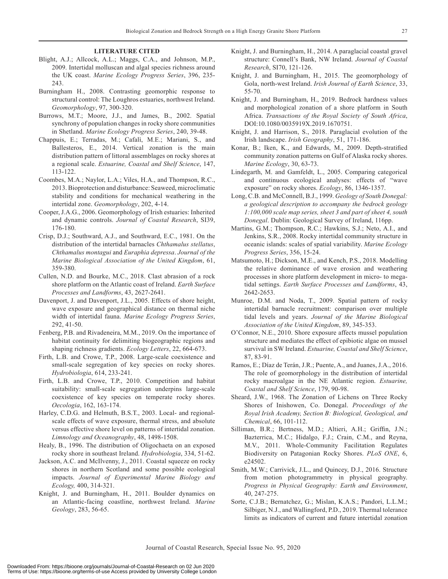#### **LITERATURE CITED**

- Blight, A.J.; Allcock, A.L.; Maggs, C.A., and Johnson, M.P., 2009. Intertidal molluscan and algal species richness around the UK coast. *Marine Ecology Progress Series*, 396, 235- 243.
- Burningham H., 2008. Contrasting geomorphic response to structural control: The Loughros estuaries, northwest Ireland. *Geomorphology*, 97, 300-320.
- Burrows, M.T.; Moore, J.J., and James, B., 2002. Spatial synchrony of population changes in rocky shore communities in Shetland. *Marine Ecology Progress Series*, 240, 39-48.
- Chappuis, E.; Terradas, M.; Cafalì, M.E.; Mariani, S., and Ballesteros, E., 2014. Vertical zonation is the main distribution pattern of littoral assemblages on rocky shores at a regional scale. *Estuarine, Coastal and Shelf Science*, 147, 113-122.
- Coombes, M.A.; Naylor, L.A.; Viles, H.A., and Thompson, R.C., 2013. Bioprotection and disturbance: Seaweed, microclimatic stability and conditions for mechanical weathering in the intertidal zone. *Geomorphology*, 202, 4-14.
- Cooper, J.A.G., 2006. Geomorphology of Irish estuaries: Inherited and dynamic controls. *Journal of Coastal Research*, SI39, 176-180.
- Crisp, D.J.; Southward, A.J., and Southward, E.C., 1981. On the distribution of the intertidal barnacles *Chthamalus stellatus*, *Chthamalus montagui* and *Euraphia depressa*. *Journal of the Marine Biological Association of the United Kingdom*, 61, 359-380.
- Cullen, N.D. and Bourke, M.C., 2018. Clast abrasion of a rock shore platform on the Atlantic coast of Ireland. *Earth Surface Processes and Landforms*, 43, 2627-2641.
- Davenport, J. and Davenport, J.L., 2005. Effects of shore height, wave exposure and geographical distance on thermal niche width of intertidal fauna. *Marine Ecology Progress Series*, 292, 41-50.
- Fenberg, P.B. and Rivadeneira, M.M., 2019. On the importance of habitat continuity for delimiting biogeographic regions and shaping richness gradients. *Ecology Letters*, 22, 664-673.
- Firth, L.B. and Crowe, T.P., 2008. Large-scale coexistence and small-scale segregation of key species on rocky shores. *Hydrobiologia*, 614, 233-241.
- Firth, L.B. and Crowe, T.P., 2010. Competition and habitat suitability: small-scale segregation underpins large-scale coexistence of key species on temperate rocky shores. *Oecologia*, 162, 163-174.
- Harley, C.D.G. and Helmuth, B.S.T., 2003. Local- and regionalscale effects of wave exposure, thermal stress, and absolute versus effective shore level on patterns of intertidal zonation. *Limnology and Oceanography*, 48, 1498-1508.
- Healy, B., 1996. The distribution of Oligochaeta on an exposed rocky shore in southeast Ireland. *Hydrobiologia*, 334, 51-62.
- Jackson, A.C. and McIlvenny, J., 2011. Coastal squeeze on rocky shores in northern Scotland and some possible ecological impacts. *Journal of Experimental Marine Biology and Ecology,* 400, 314-321.
- Knight, J. and Burningham, H., 2011. Boulder dynamics on an Atlantic-facing coastline, northwest Ireland. *Marine Geology*, 283, 56-65.
- Knight, J. and Burningham, H., 2014. A paraglacial coastal gravel structure: Connell's Bank, NW Ireland. *Journal of Coastal Research*, SI70, 121-126.
- Knight, J. and Burningham, H., 2015. The geomorphology of Gola, north-west Ireland. *Irish Journal of Earth Science*, 33, 55-70.
- Knight, J. and Burningham, H., 2019. Bedrock hardness values and morphological zonation of a shore platform in South Africa. *Transactions of the Royal Society of South Africa*, DOI:10.1080/0035919X.2019.1670751.
- Knight, J. and Harrison, S., 2018. Paraglacial evolution of the Irish landscape. *Irish Geography*, 51, 171-186.
- Konar, B.; Iken, K., and Edwards, M., 2009. Depth-stratified community zonation patterns on Gulf of Alaska rocky shores. *Marine Ecology*, 30, 63-73.
- Lindegarth, M. and Gamfeldt, L., 2005. Comparing categorical and continuous ecological analyses: effects of "wave exposure" on rocky shores. *Ecology*, 86, 1346-1357.
- Long, C.B. and McConnell, B.J., 1999. *Geology of South Donegal: a geological description to accompany the bedrock geology 1:100,000 scale map series, sheet 3 and part of sheet 4, south Donegal*. Dublin: Geological Survey of Ireland, 116pp.
- Martins, G.M.; Thompson, R.C.; Hawkins, S.J.; Neto, A.I., and Jenkins, S.R., 2008. Rocky intertidal community structure in oceanic islands: scales of spatial variability. *Marine Ecology Progress Series*, 356, 15-24.
- Matsumoto, H.; Dickson, M.E., and Kench, P.S., 2018. Modelling the relative dominance of wave erosion and weathering processes in shore platform development in micro- to megatidal settings. *Earth Surface Processes and Landforms*, 43, 2642-2653.
- Munroe, D.M. and Noda, T., 2009. Spatial pattern of rocky intertidal barnacle recruitment: comparison over multiple tidal levels and years. *Journal of the Marine Biological Association of the United Kingdom*, 89, 345-353.
- O'Connor, N.E., 2010. Shore exposure affects mussel population structure and mediates the effect of epibiotic algae on mussel survival in SW Ireland. *Estuarine, Coastal and Shelf Science*, 87, 83-91.
- Ramos, E.; Díaz de Terán, J.R.; Puente, A., and Juanes, J.A., 2016. The role of geomorphology in the distribution of intertidal rocky macroalgae in the NE Atlantic region. *Estuarine, Coastal and Shelf Science*, 179, 90-98.
- Sheard, J.W., 1968. The Zonation of Lichens on Three Rocky Shores of Inishowen, Co. Donegal. *Proceedings of the Royal Irish Academy, Section B: Biological, Geological, and Chemical*, 66, 101-112.
- Silliman, B.R.; Bertness, M.D.; Altieri, A.H.; Griffin, J.N.; Bazterrica, M.C.; Hidalgo, F.J.; Crain, C.M., and Reyna, M.V., 2011. Whole-Community Facilitation Regulates Biodiversity on Patagonian Rocky Shores. *PLoS ONE*, 6, e24502.
- Smith, M.W.; Carrivick, J.L., and Quincey, D.J., 2016. Structure from motion photogrammetry in physical geography. *Progress in Physical Geography: Earth and Environment*, 40, 247-275.
- Sorte, C.J.B.; Bernatchez, G.; Mislan, K.A.S.; Pandori, L.L.M.; Silbiger, N.J., and Wallingford, P.D., 2019. Thermal tolerance limits as indicators of current and future intertidal zonation